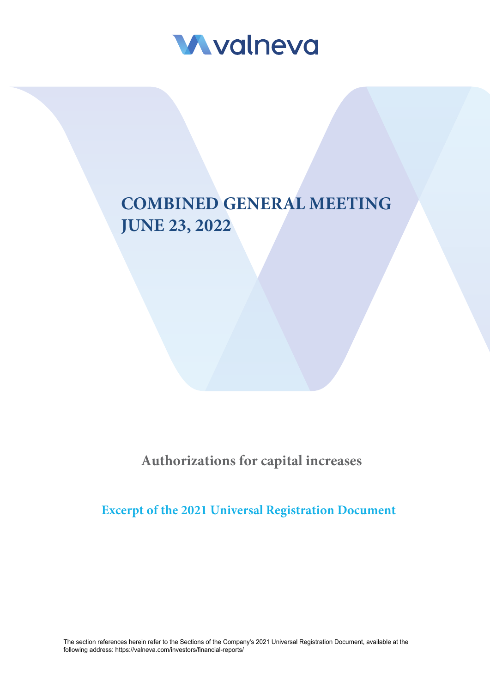

# **COMBINED GENERAL MEETING JUNE 23, 2022**

**Authorizations for capital increases**

**Excerpt of the 2021 Universal Registration Document**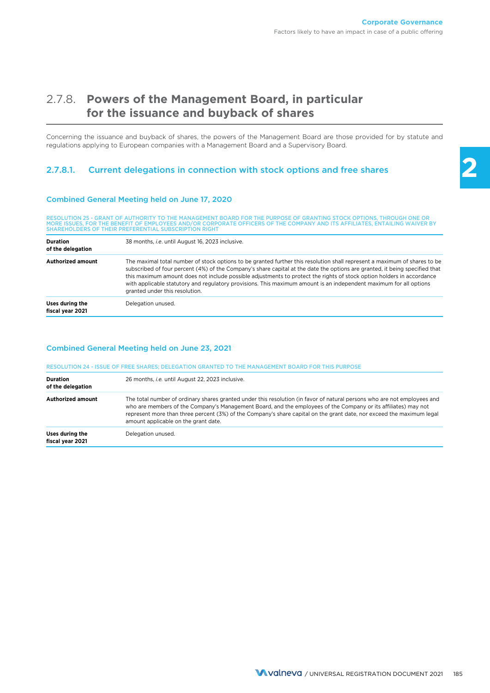# 2.7.8. **Powers of the Management Board, in particular for the issuance and buyback of shares**

Concerning the issuance and buyback of shares, the powers of the Management Board are those provided for by statute and regulations applying to European companies with a Management Board and a Supervisory Board.

## 2.7.8.1. Current delegations in connection with stock options and free shares

#### Combined General Meeting held on June 17, 2020

RESOLUTION 25 - GRANT OF AUTHORITY TO THE MANAGEMENT BOARD FOR THE PURPOSE OF GRANTING STOCK OPTIONS, THROUGH ONE OR<br>MORE ISSUES, FOR THE BENEFIT OF EMPLOYEES AND/OR CORPORATE OFFICERS OF THE COMPANY AND ITS AFFILIATES, EN

| <b>Duration</b><br>of the delegation | 38 months, i.e. until August 16, 2023 inclusive.                                                                                                                                                                                                                                                                                                                                                                                                                                                                                          |
|--------------------------------------|-------------------------------------------------------------------------------------------------------------------------------------------------------------------------------------------------------------------------------------------------------------------------------------------------------------------------------------------------------------------------------------------------------------------------------------------------------------------------------------------------------------------------------------------|
| <b>Authorized amount</b>             | The maximal total number of stock options to be granted further this resolution shall represent a maximum of shares to be<br>subscribed of four percent (4%) of the Company's share capital at the date the options are granted, it being specified that<br>this maximum amount does not include possible adjustments to protect the rights of stock option holders in accordance<br>with applicable statutory and regulatory provisions. This maximum amount is an independent maximum for all options<br>granted under this resolution. |
| Uses during the<br>fiscal year 2021  | Delegation unused.                                                                                                                                                                                                                                                                                                                                                                                                                                                                                                                        |

#### Combined General Meeting held on June 23, 2021

#### RESOLUTION 24 - ISSUE OF FREE SHARES; DELEGATION GRANTED TO THE MANAGEMENT BOARD FOR THIS PURPOSE

| <b>Duration</b><br>of the delegation | 26 months, <i>i.e.</i> until August 22, 2023 inclusive.                                                                                                                                                                                                                                                                                                                                                     |
|--------------------------------------|-------------------------------------------------------------------------------------------------------------------------------------------------------------------------------------------------------------------------------------------------------------------------------------------------------------------------------------------------------------------------------------------------------------|
| <b>Authorized amount</b>             | The total number of ordinary shares granted under this resolution (in favor of natural persons who are not employees and<br>who are members of the Company's Management Board, and the employees of the Company or its affiliates) may not<br>represent more than three percent (3%) of the Company's share capital on the grant date, nor exceed the maximum legal<br>amount applicable on the grant date. |
| Uses during the<br>fiscal vear 2021  | Delegation unused.                                                                                                                                                                                                                                                                                                                                                                                          |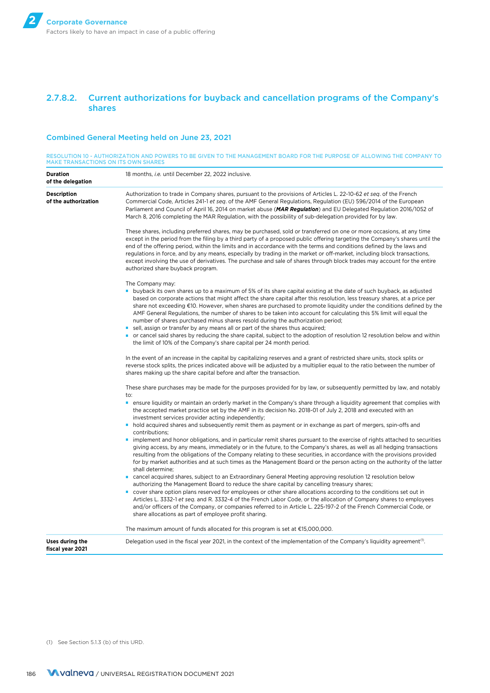## 2.7.8.2. Current authorizations for buyback and cancellation programs of the Company's shares

#### Combined General Meeting held on June 23, 2021

RESOLUTION 10 - AUTHORIZATION AND POWERS TO BE GIVEN TO THE MANAGEMENT BOARD FOR THE PURPOSE OF ALLOWING THE COMPANY TO<br>MAKE TRANSACTIONS ON ITS OWN SHARES

| Duration<br>of the delegation              | 18 months, i.e. until December 22, 2022 inclusive.                                                                                                                                                                                                                                                                                                                                                                                                                                                                                                                                                                                                                                                                                                                                                                                                                                             |
|--------------------------------------------|------------------------------------------------------------------------------------------------------------------------------------------------------------------------------------------------------------------------------------------------------------------------------------------------------------------------------------------------------------------------------------------------------------------------------------------------------------------------------------------------------------------------------------------------------------------------------------------------------------------------------------------------------------------------------------------------------------------------------------------------------------------------------------------------------------------------------------------------------------------------------------------------|
| <b>Description</b><br>of the authorization | Authorization to trade in Company shares, pursuant to the provisions of Articles L. 22-10-62 et seq. of the French<br>Commercial Code, Articles 241-1 et seq. of the AMF General Regulations, Regulation (EU) 596/2014 of the European<br>Parliament and Council of April 16, 2014 on market abuse (MAR Regulation) and EU Delegated Regulation 2016/1052 of<br>March 8, 2016 completing the MAR Regulation, with the possibility of sub-delegation provided for by law.                                                                                                                                                                                                                                                                                                                                                                                                                       |
|                                            | These shares, including preferred shares, may be purchased, sold or transferred on one or more occasions, at any time<br>except in the period from the filing by a third party of a proposed public offering targeting the Company's shares until the<br>end of the offering period, within the limits and in accordance with the terms and conditions defined by the laws and<br>regulations in force, and by any means, especially by trading in the market or off-market, including block transactions,<br>except involving the use of derivatives. The purchase and sale of shares through block trades may account for the entire<br>authorized share buyback program.                                                                                                                                                                                                                    |
|                                            | The Company may:<br>buyback its own shares up to a maximum of 5% of its share capital existing at the date of such buyback, as adjusted<br>based on corporate actions that might affect the share capital after this resolution, less treasury shares, at a price per<br>share not exceeding €10. However, when shares are purchased to promote liquidity under the conditions defined by the<br>AMF General Regulations, the number of shares to be taken into account for calculating this 5% limit will equal the<br>number of shares purchased minus shares resold during the authorization period;<br>sell, assign or transfer by any means all or part of the shares thus acquired;<br>or cancel said shares by reducing the share capital, subject to the adoption of resolution 12 resolution below and within<br>the limit of 10% of the Company's share capital per 24 month period. |
|                                            | In the event of an increase in the capital by capitalizing reserves and a grant of restricted share units, stock splits or<br>reverse stock splits, the prices indicated above will be adjusted by a multiplier equal to the ratio between the number of<br>shares making up the share capital before and after the transaction.                                                                                                                                                                                                                                                                                                                                                                                                                                                                                                                                                               |
|                                            | These share purchases may be made for the purposes provided for by law, or subsequently permitted by law, and notably<br>to:                                                                                                                                                                                                                                                                                                                                                                                                                                                                                                                                                                                                                                                                                                                                                                   |
|                                            | ensure liquidity or maintain an orderly market in the Company's share through a liquidity agreement that complies with<br>the accepted market practice set by the AMF in its decision No. 2018-01 of July 2, 2018 and executed with an<br>investment services provider acting independently;                                                                                                                                                                                                                                                                                                                                                                                                                                                                                                                                                                                                   |
|                                            | • hold acquired shares and subsequently remit them as payment or in exchange as part of mergers, spin-offs and<br>contributions;                                                                                                                                                                                                                                                                                                                                                                                                                                                                                                                                                                                                                                                                                                                                                               |
|                                            | implement and honor obligations, and in particular remit shares pursuant to the exercise of rights attached to securities<br>giving access, by any means, immediately or in the future, to the Company's shares, as well as all hedging transactions<br>resulting from the obligations of the Company relating to these securities, in accordance with the provisions provided<br>for by market authorities and at such times as the Management Board or the person acting on the authority of the latter<br>shall determine;                                                                                                                                                                                                                                                                                                                                                                  |
|                                            | ■ cancel acquired shares, subject to an Extraordinary General Meeting approving resolution 12 resolution below<br>authorizing the Management Board to reduce the share capital by cancelling treasury shares;<br>■ cover share option plans reserved for employees or other share allocations according to the conditions set out in<br>Articles L. 3332-1 et seg. and R. 3332-4 of the French Labor Code, or the allocation of Company shares to employees<br>and/or officers of the Company, or companies referred to in Article L. 225-197-2 of the French Commercial Code, or<br>share allocations as part of employee profit sharing.                                                                                                                                                                                                                                                     |
|                                            | The maximum amount of funds allocated for this program is set at $E15,000,000$ .                                                                                                                                                                                                                                                                                                                                                                                                                                                                                                                                                                                                                                                                                                                                                                                                               |
| Uses during the<br>fiscal year 2021        | Delegation used in the fiscal year 2021, in the context of the implementation of the Company's liquidity agreement <sup>(1)</sup> .                                                                                                                                                                                                                                                                                                                                                                                                                                                                                                                                                                                                                                                                                                                                                            |

(1) See Section 5.1.3 (b) of this URD.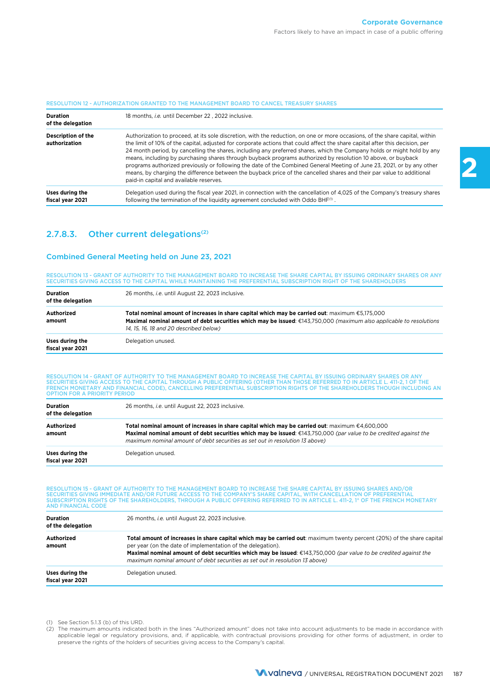#### RESOLUTION 12 - AUTHORIZATION GRANTED TO THE MANAGEMENT BOARD TO CANCEL TREASURY SHARES

| <b>Duration</b><br>of the delegation | 18 months, <i>i.e.</i> until December 22, 2022 inclusive.                                                                                                                                                                                                                                                                                                                                                                                                                                                                                                                                                                                                                                                                                                                                             |
|--------------------------------------|-------------------------------------------------------------------------------------------------------------------------------------------------------------------------------------------------------------------------------------------------------------------------------------------------------------------------------------------------------------------------------------------------------------------------------------------------------------------------------------------------------------------------------------------------------------------------------------------------------------------------------------------------------------------------------------------------------------------------------------------------------------------------------------------------------|
| Description of the<br>authorization  | Authorization to proceed, at its sole discretion, with the reduction, on one or more occasions, of the share capital, within<br>the limit of 10% of the capital, adjusted for corporate actions that could affect the share capital after this decision, per<br>24 month period, by cancelling the shares, including any preferred shares, which the Company holds or might hold by any<br>means, including by purchasing shares through buyback programs authorized by resolution 10 above, or buyback<br>programs authorized previously or following the date of the Combined General Meeting of June 23, 2021, or by any other<br>means, by charging the difference between the buyback price of the cancelled shares and their par value to additional<br>paid-in capital and available reserves. |
| Uses during the<br>fiscal year 2021  | Delegation used during the fiscal year 2021, in connection with the cancellation of 4,025 of the Company's treasury shares<br>following the termination of the liquidity agreement concluded with Oddo $BHF^{(1)}$ .                                                                                                                                                                                                                                                                                                                                                                                                                                                                                                                                                                                  |

# 2.7.8.3. Other current delegations<sup>(2)</sup>

## Combined General Meeting held on June 23, 2021

RESOLUTION 13 - GRANT OF AUTHORITY TO THE MANAGEMENT BOARD TO INCREASE THE SHARE CAPITAL BY ISSUING ORDINARY SHARES OR ANY<br>SECURITIES GIVING ACCESS TO THE CAPITAL WHILE MAINTAINING THE PREFERENTIAL SUBSCRIPTION RIGHT OF TH

| <b>Duration</b><br>of the delegation | 26 months, <i>i.e.</i> until August 22, 2023 inclusive.                                                                                                                                                                                                          |
|--------------------------------------|------------------------------------------------------------------------------------------------------------------------------------------------------------------------------------------------------------------------------------------------------------------|
| Authorized<br>amount                 | Total nominal amount of increases in share capital which may be carried out: maximum €5,175,000<br>Maximal nominal amount of debt securities which may be issued: €143,750,000 (maximum also applicable to resolutions<br>14, 15, 16, 18 and 20 described below) |
| Uses during the<br>fiscal vear 2021  | Delegation unused.                                                                                                                                                                                                                                               |

RESOLUTION 14 - GRANT OF AUTHORITY TO THE MANAGEMENT BOARD TO INCREASE THE CAPITAL BY ISSUING ORDINARY SHARES OR ANY<br>SECURITIES GIVING ACCESS TO THE CAPITAL THROUGH A PUBLIC OFFERING (OTHER THAN THOSE REFERRED TO IN ARTICL

| <b>Duration</b><br>of the delegation | 26 months, <i>i.e.</i> until August 22, 2023 inclusive.                                                                                                                                                                                                                                                |
|--------------------------------------|--------------------------------------------------------------------------------------------------------------------------------------------------------------------------------------------------------------------------------------------------------------------------------------------------------|
| Authorized<br>amount                 | Total nominal amount of increases in share capital which may be carried out: maximum $€4.600.000$<br>Maximal nominal amount of debt securities which may be issued: €143,750,000 (par value to be credited against the<br>maximum nominal amount of debt securities as set out in resolution 13 above) |
| Uses during the<br>fiscal vear 2021  | Delegation unused.                                                                                                                                                                                                                                                                                     |

# RESOLUTION 15 - GRANT OF AUTHORITY TO THE MANAGEMENT BOARD TO INCREASE THE SHARE CAPITAL BY ISSUING SHARES AND/OR<br>SECURITIES GIVING IMMEDIATE AND/OR FUTURE ACCESS TO THE COMPANY'S SHARE CAPITAL, WITH CANCELLATION OF PREFER AND FINANCIAL CODE

| <b>Duration</b><br>of the delegation | 26 months, <i>i.e.</i> until August 22, 2023 inclusive.                                                                                                                                                                                                                                                                                                                                    |
|--------------------------------------|--------------------------------------------------------------------------------------------------------------------------------------------------------------------------------------------------------------------------------------------------------------------------------------------------------------------------------------------------------------------------------------------|
| Authorized<br>amount                 | Total amount of increases in share capital which may be carried out: maximum twenty percent (20%) of the share capital<br>per year (on the date of implementation of the delegation).<br>Maximal nominal amount of debt securities which may be issued: €143,750,000 (par value to be credited against the<br>maximum nominal amount of debt securities as set out in resolution 13 above) |
| Uses during the<br>fiscal year 2021  | Delegation unused.                                                                                                                                                                                                                                                                                                                                                                         |

(1) See Section 5.1.3 (b) of this URD.

(2) The maximum amounts indicated both in the lines "Authorized amount" does not take into account adjustments to be made in accordance with applicable legal or regulatory provisions, and, if applicable, with contractual provisions providing for other forms of adjustment, in order to preserve the rights of the holders of securities giving access to the Company's capital.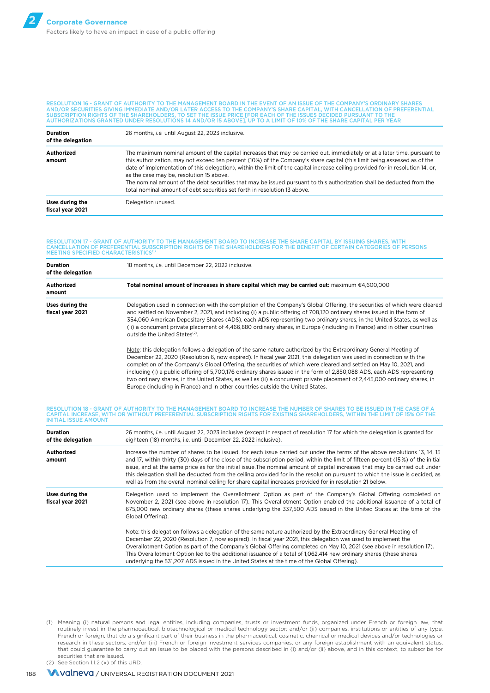RESOLUTION 16 - GRANT OF AUTHORITY TO THE MANAGEMENT BOARD IN THE EVENT OF AN ISSUE OF THE COMPANY'S ORDINARY SHARES<br>AND/OR SECURITIES GIVING IMMEDIATE AND/OR LATER ACCESS TO THE COMPANY'S SHARE CAPITAL, WITH CANCELLATION

| <b>Duration</b><br>of the delegation | 26 months, <i>i.e.</i> until August 22, 2023 inclusive.                                                                                                                                                                                                                                                                                                                                                                                                                                                                                                                                                                                    |
|--------------------------------------|--------------------------------------------------------------------------------------------------------------------------------------------------------------------------------------------------------------------------------------------------------------------------------------------------------------------------------------------------------------------------------------------------------------------------------------------------------------------------------------------------------------------------------------------------------------------------------------------------------------------------------------------|
| Authorized<br>amount                 | The maximum nominal amount of the capital increases that may be carried out, immediately or at a later time, pursuant to<br>this authorization, may not exceed ten percent (10%) of the Company's share capital (this limit being assessed as of the<br>date of implementation of this delegation), within the limit of the capital increase ceiling provided for in resolution 14, or,<br>as the case may be, resolution 15 above.<br>The nominal amount of the debt securities that may be issued pursuant to this authorization shall be deducted from the<br>total nominal amount of debt securities set forth in resolution 13 above. |
| Uses during the<br>fiscal year 2021  | Delegation unused.                                                                                                                                                                                                                                                                                                                                                                                                                                                                                                                                                                                                                         |

# RESOLUTION 17 - GRANT OF AUTHORITY TO THE MANAGEMENT BOARD TO INCREASE THE SHARE CAPITAL BY ISSUING SHARES, WITH<br>CANCELLATION OF PREFERENTIAL SUBSCRIPTION RIGHTS OF THE SHAREHOLDERS FOR THE BENEFIT OF CERTAIN CATEGORIES OF

| Duration<br>of the delegation       | 18 months, <i>i.e.</i> until December 22, 2022 inclusive.                                                                                                                                                                                                                                                                                                                                                                                                                                                                                                                                                                                                                                                |
|-------------------------------------|----------------------------------------------------------------------------------------------------------------------------------------------------------------------------------------------------------------------------------------------------------------------------------------------------------------------------------------------------------------------------------------------------------------------------------------------------------------------------------------------------------------------------------------------------------------------------------------------------------------------------------------------------------------------------------------------------------|
| Authorized<br>amount                | Total nominal amount of increases in share capital which may be carried out: maximum $\epsilon$ 4,600,000                                                                                                                                                                                                                                                                                                                                                                                                                                                                                                                                                                                                |
| Uses during the<br>fiscal vear 2021 | Delegation used in connection with the completion of the Company's Global Offering, the securities of which were cleared<br>and settled on November 2, 2021, and including (i) a public offering of 708,120 ordinary shares issued in the form of<br>354,060 American Depositary Shares (ADS), each ADS representing two ordinary shares, in the United States, as well as<br>(ii) a concurrent private placement of 4,466,880 ordinary shares, in Europe (including in France) and in other countries<br>outside the United States <sup>(2)</sup> .                                                                                                                                                     |
|                                     | Note: this delegation follows a delegation of the same nature authorized by the Extraordinary General Meeting of<br>December 22, 2020 (Resolution 6, now expired). In fiscal year 2021, this delegation was used in connection with the<br>completion of the Company's Global Offering, the securities of which were cleared and settled on May 10, 2021, and<br>including (i) a public offering of 5,700,176 ordinary shares issued in the form of 2,850,088 ADS, each ADS representing<br>two ordinary shares, in the United States, as well as (ii) a concurrent private placement of 2,445,000 ordinary shares, in<br>Europe (including in France) and in other countries outside the United States. |

#### RESOLUTION 18 - GRANT OF AUTHORITY TO THE MANAGEMENT BOARD TO INCREASE THE NUMBER OF SHARES TO BE ISSUED IN THE CASE OF A<br>CAPITAL INCREASE, WITH OR WITHOUT PREFERENTIAL SUBSCRIPTION RIGHTS FOR EXISTING SHAREHOLDERS, WITHIN INITIAL ISSUE AMOUNT

| <b>Duration</b><br>of the delegation | 26 months, i.e. until August 22, 2023 inclusive (except in respect of resolution 17 for which the delegation is granted for<br>eighteen (18) months, i.e. until December 22, 2022 inclusive).                                                                                                                                                                                                                                                                                                                                                                                                                                                |
|--------------------------------------|----------------------------------------------------------------------------------------------------------------------------------------------------------------------------------------------------------------------------------------------------------------------------------------------------------------------------------------------------------------------------------------------------------------------------------------------------------------------------------------------------------------------------------------------------------------------------------------------------------------------------------------------|
| Authorized<br>amount                 | Increase the number of shares to be issued, for each issue carried out under the terms of the above resolutions 13, 14, 15<br>and 17, within thirty (30) days of the close of the subscription period, within the limit of fifteen percent (15%) of the initial<br>issue, and at the same price as for the initial issue. The nominal amount of capital increases that may be carried out under<br>this delegation shall be deducted from the ceiling provided for in the resolution pursuant to which the issue is decided, as<br>well as from the overall nominal ceiling for share capital increases provided for in resolution 21 below. |
| Uses during the<br>fiscal year 2021  | Delegation used to implement the Overallotment Option as part of the Company's Global Offering completed on<br>November 2, 2021 (see above in resolution 17). This Overallotment Option enabled the additional issuance of a total of<br>675,000 new ordinary shares (these shares underlying the 337,500 ADS issued in the United States at the time of the<br>Global Offering).                                                                                                                                                                                                                                                            |
|                                      | Note: this delegation follows a delegation of the same nature authorized by the Extraordinary General Meeting of<br>December 22, 2020 (Resolution 7, now expired). In fiscal year 2021, this delegation was used to implement the<br>Overallotment Option as part of the Company's Global Offering completed on May 10, 2021 (see above in resolution 17).<br>This Overallotment Option led to the additional issuance of a total of 1,062,414 new ordinary shares (these shares<br>underlying the 531,207 ADS issued in the United States at the time of the Global Offering).                                                              |

(1) Meaning (i) natural persons and legal entities, including companies, trusts or investment funds, organized under French or foreign law, that routinely invest in the pharmaceutical, biotechnological or medical technology sector; and/or (ii) companies, institutions or entities of any type, French or foreign, that do a significant part of their business in the pharmaceutical, cosmetic, chemical or medical devices and/or technologies or research in these sectors; and/or (iii) French or foreign investment services companies, or any foreign establishment with an equivalent status, that could guarantee to carry out an issue to be placed with the persons described in (i) and/or (ii) above, and in this context, to subscribe for securities that are issued.

(2) See Section 1.1.2 (x) of this URD.